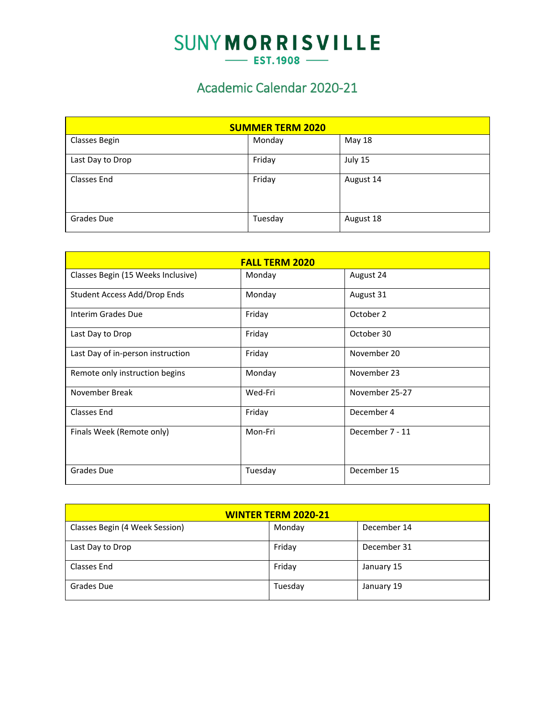## **SUNYMORRISVILLE**  $-$  EST.1908  $-$

## Academic Calendar 2020-21

| <b>SUMMER TERM 2020</b> |         |           |  |  |
|-------------------------|---------|-----------|--|--|
| <b>Classes Begin</b>    | Monday  | May 18    |  |  |
| Last Day to Drop        | Friday  | July 15   |  |  |
| Classes End             | Friday  | August 14 |  |  |
| Grades Due              | Tuesday | August 18 |  |  |

|                                    | <b>FALL TERM 2020</b> |                 |  |  |  |  |  |
|------------------------------------|-----------------------|-----------------|--|--|--|--|--|
| Classes Begin (15 Weeks Inclusive) | Monday                | August 24       |  |  |  |  |  |
| Student Access Add/Drop Ends       | Monday                | August 31       |  |  |  |  |  |
| Interim Grades Due                 | Friday                | October 2       |  |  |  |  |  |
| Last Day to Drop                   | Friday                | October 30      |  |  |  |  |  |
| Last Day of in-person instruction  | Friday                | November 20     |  |  |  |  |  |
| Remote only instruction begins     | Monday                | November 23     |  |  |  |  |  |
| November Break                     | Wed-Fri               | November 25-27  |  |  |  |  |  |
| Classes End                        | Friday                | December 4      |  |  |  |  |  |
| Finals Week (Remote only)          | Mon-Fri               | December 7 - 11 |  |  |  |  |  |
| Grades Due                         | Tuesday               | December 15     |  |  |  |  |  |

| <b>WINTER TERM 2020-21</b>     |         |             |  |  |  |  |
|--------------------------------|---------|-------------|--|--|--|--|
| Classes Begin (4 Week Session) | Monday  | December 14 |  |  |  |  |
| Last Day to Drop               | Friday  | December 31 |  |  |  |  |
| Classes End                    | Friday  | January 15  |  |  |  |  |
| Grades Due                     | Tuesday | January 19  |  |  |  |  |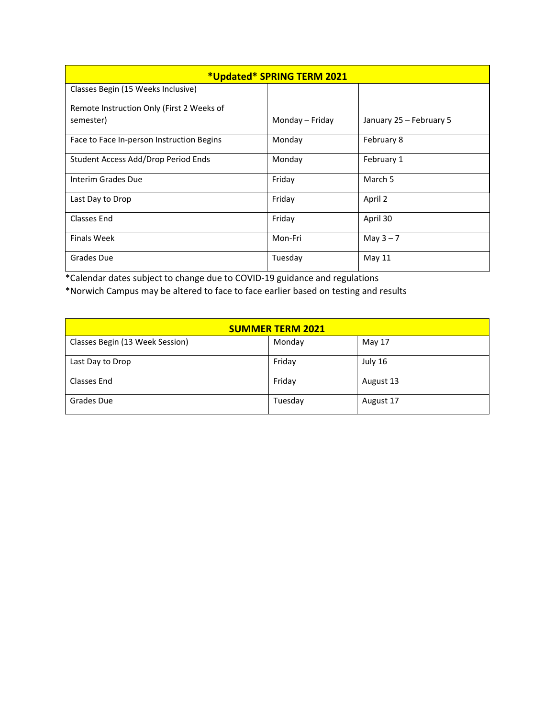| *Updated* SPRING TERM 2021                |                 |                         |  |  |  |  |
|-------------------------------------------|-----------------|-------------------------|--|--|--|--|
| Classes Begin (15 Weeks Inclusive)        |                 |                         |  |  |  |  |
| Remote Instruction Only (First 2 Weeks of |                 |                         |  |  |  |  |
| semester)                                 | Monday – Friday | January 25 - February 5 |  |  |  |  |
| Face to Face In-person Instruction Begins | Monday          | February 8              |  |  |  |  |
| Student Access Add/Drop Period Ends       | Monday          | February 1              |  |  |  |  |
| Interim Grades Due                        | Friday          | March 5                 |  |  |  |  |
| Last Day to Drop                          | Friday          | April 2                 |  |  |  |  |
| <b>Classes End</b>                        | Friday          | April 30                |  |  |  |  |
| <b>Finals Week</b>                        | Mon-Fri         | May $3 - 7$             |  |  |  |  |
| <b>Grades Due</b>                         | Tuesday         | May 11                  |  |  |  |  |

\*Calendar dates subject to change due to COVID-19 guidance and regulations \*Norwich Campus may be altered to face to face earlier based on testing and results

| <b>SUMMER TERM 2021</b>         |         |           |  |  |  |
|---------------------------------|---------|-----------|--|--|--|
| Classes Begin (13 Week Session) | Monday  | May 17    |  |  |  |
| Last Day to Drop                | Friday  | July 16   |  |  |  |
| Classes End                     | Friday  | August 13 |  |  |  |
| Grades Due                      | Tuesday | August 17 |  |  |  |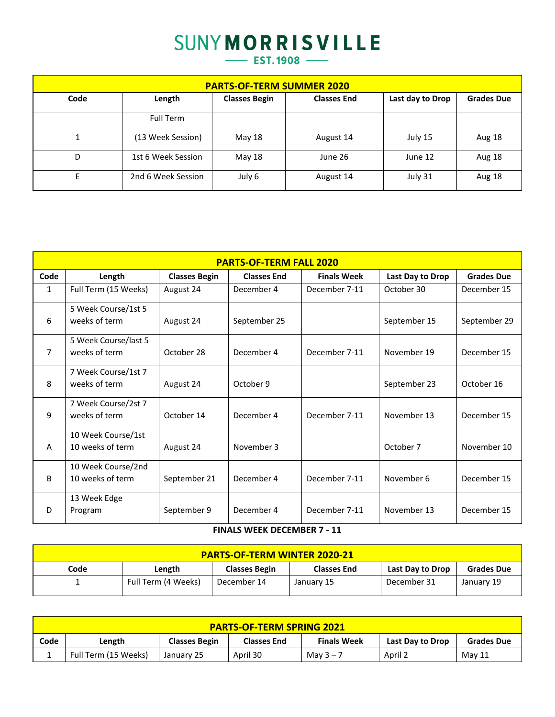## **SUNYMORRISVILLE**

 $-$  EST.1908  $-$ 

| <b>PARTS-OF-TERM SUMMER 2020</b> |                    |                      |                    |                  |                   |  |  |
|----------------------------------|--------------------|----------------------|--------------------|------------------|-------------------|--|--|
| Code                             | Length             | <b>Classes Begin</b> | <b>Classes End</b> | Last day to Drop | <b>Grades Due</b> |  |  |
|                                  | <b>Full Term</b>   |                      |                    |                  |                   |  |  |
|                                  | (13 Week Session)  | May 18               | August 14          | July 15          | Aug 18            |  |  |
| D                                | 1st 6 Week Session | May 18               | June 26            | June 12          | Aug 18            |  |  |
| E                                | 2nd 6 Week Session | July 6               | August 14          | July 31          | Aug 18            |  |  |

| <b>PARTS-OF-TERM FALL 2020</b> |                      |                      |                    |                    |                  |                   |
|--------------------------------|----------------------|----------------------|--------------------|--------------------|------------------|-------------------|
| Code                           | Length               | <b>Classes Begin</b> | <b>Classes End</b> | <b>Finals Week</b> | Last Day to Drop | <b>Grades Due</b> |
| $\mathbf{1}$                   | Full Term (15 Weeks) | August 24            | December 4         | December 7-11      | October 30       | December 15       |
|                                | 5 Week Course/1st 5  |                      |                    |                    |                  |                   |
| 6                              | weeks of term        | August 24            | September 25       |                    | September 15     | September 29      |
|                                | 5 Week Course/last 5 |                      |                    |                    |                  |                   |
| 7                              | weeks of term        | October 28           | December 4         | December 7-11      | November 19      | December 15       |
|                                | 7 Week Course/1st 7  |                      |                    |                    |                  |                   |
| 8                              | weeks of term        | August 24            | October 9          |                    | September 23     | October 16        |
|                                | 7 Week Course/2st 7  |                      |                    |                    |                  |                   |
| 9                              | weeks of term        | October 14           | December 4         | December 7-11      | November 13      | December 15       |
|                                | 10 Week Course/1st   |                      |                    |                    |                  |                   |
| A                              | 10 weeks of term     | August 24            | November 3         |                    | October 7        | November 10       |
|                                | 10 Week Course/2nd   |                      |                    |                    |                  |                   |
| <sub>B</sub>                   | 10 weeks of term     | September 21         | December 4         | December 7-11      | November 6       | December 15       |
|                                | 13 Week Edge         |                      |                    |                    |                  |                   |
| D                              | Program              | September 9          | December 4         | December 7-11      | November 13      | December 15       |

**FINALS WEEK DECEMBER 7 - 11**

| <b>PARTS-OF-TERM WINTER 2020-21</b>                                                                   |                     |             |            |             |            |  |  |
|-------------------------------------------------------------------------------------------------------|---------------------|-------------|------------|-------------|------------|--|--|
| Code<br><b>Classes Begin</b><br>Last Day to Drop<br><b>Grades Due</b><br><b>Classes End</b><br>Length |                     |             |            |             |            |  |  |
|                                                                                                       | Full Term (4 Weeks) | December 14 | January 15 | December 31 | January 19 |  |  |

| <b>PARTS-OF-TERM SPRING 2021</b> |                                                                                                                     |            |          |             |         |        |  |
|----------------------------------|---------------------------------------------------------------------------------------------------------------------|------------|----------|-------------|---------|--------|--|
| Code                             | <b>Finals Week</b><br><b>Classes Begin</b><br><b>Grades Due</b><br>Last Day to Drop<br>Length<br><b>Classes End</b> |            |          |             |         |        |  |
|                                  | Full Term (15 Weeks)                                                                                                | January 25 | April 30 | May $3 - 7$ | April 2 | Mav 11 |  |